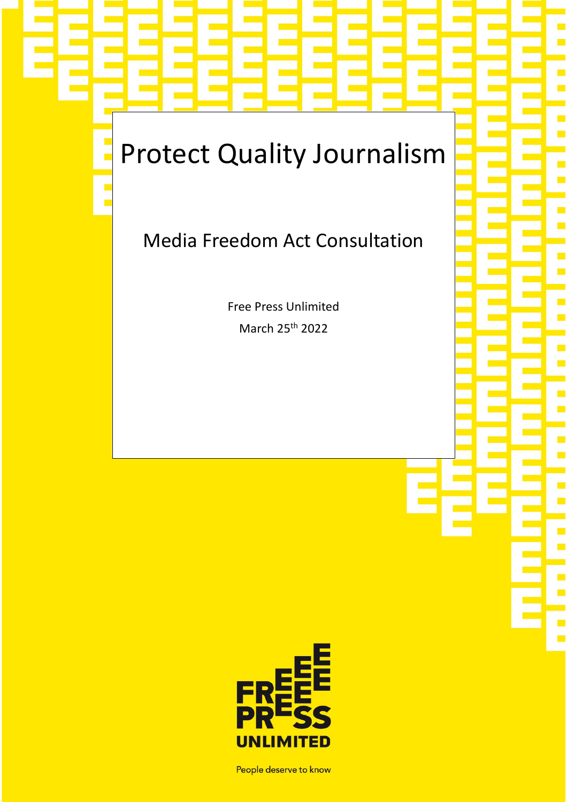# Protect Quality Journalism

# Media Freedom Act Consultation

Free Press Unlimited March 25th 2022



People deserve to know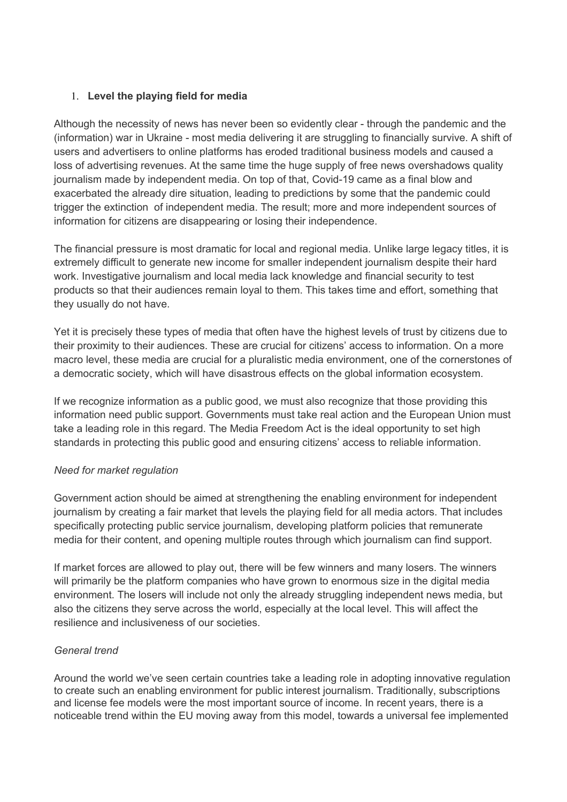# 1. **Level the playing field for media**

Although the necessity of news has never been so evidently clear - through the pandemic and the (information) war in Ukraine - most media delivering it are struggling to financially survive. A shift of users and advertisers to online platforms has eroded traditional business models and caused a loss of advertising revenues. At the same time the huge supply of free news overshadows quality journalism made by independent media. On top of that, Covid-19 came as a final blow and exacerbated the already dire situation, leading to predictions by some that the pandemic could trigger the extinction of independent media. The result; more and more independent sources of information for citizens are disappearing or losing their independence.

The financial pressure is most dramatic for local and regional media. Unlike large legacy titles, it is extremely difficult to generate new income for smaller independent journalism despite their hard work. Investigative journalism and local media lack knowledge and financial security to test products so that their audiences remain loyal to them. This takes time and effort, something that they usually do not have.

Yet it is precisely these types of media that often have the highest levels of trust by citizens due to their proximity to their audiences. These are crucial for citizens' access to information. On a more macro level, these media are crucial for a pluralistic media environment, one of the cornerstones of a democratic society, which will have disastrous effects on the global information ecosystem.

If we recognize information as a public good, we must also recognize that those providing this information need public support. Governments must take real action and the European Union must take a leading role in this regard. The Media Freedom Act is the ideal opportunity to set high standards in protecting this public good and ensuring citizens' access to reliable information.

### *Need for market regulation*

Government action should be aimed at strengthening the enabling environment for independent journalism by creating a fair market that levels the playing field for all media actors. That includes specifically protecting public service journalism, developing platform policies that remunerate media for their content, and opening multiple routes through which journalism can find support.

If market forces are allowed to play out, there will be few winners and many losers. The winners will primarily be the platform companies who have grown to enormous size in the digital media environment. The losers will include not only the already struggling independent news media, but also the citizens they serve across the world, especially at the local level. This will affect the resilience and inclusiveness of our societies.

### *General trend*

Around the world we've seen certain countries take a leading role in adopting innovative regulation to create such an enabling environment for public interest journalism. Traditionally, subscriptions and license fee models were the most important source of income. In recent years, there is a noticeable trend within the EU moving away from this model, towards a universal fee implemented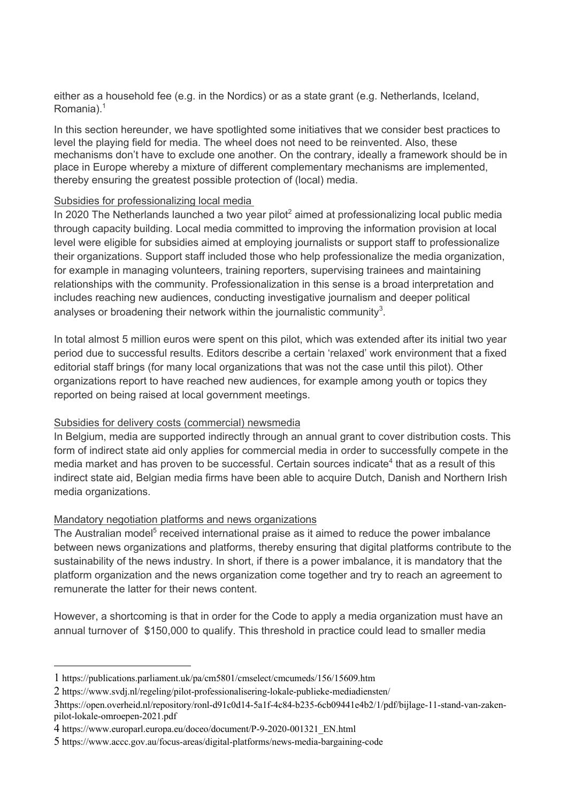either as a household fee (e.g. in the Nordics) or as a state grant (e.g. Netherlands, Iceland, Romania). $<sup>1</sup>$ </sup>

In this section hereunder, we have spotlighted some initiatives that we consider best practices to level the playing field for media. The wheel does not need to be reinvented. Also, these mechanisms don't have to exclude one another. On the contrary, ideally a framework should be in place in Europe whereby a mixture of different complementary mechanisms are implemented, thereby ensuring the greatest possible protection of (local) media.

#### Subsidies for professionalizing local media

In 2020 The Netherlands launched a two year pilot<sup>2</sup> aimed at professionalizing local public media through capacity building. Local media committed to improving the information provision at local level were eligible for subsidies aimed at employing journalists or support staff to professionalize their organizations. Support staff included those who help professionalize the media organization, for example in managing volunteers, training reporters, supervising trainees and maintaining relationships with the community. Professionalization in this sense is a broad interpretation and includes reaching new audiences, conducting investigative journalism and deeper political analyses or broadening their network within the journalistic community<sup>3</sup>.

In total almost 5 million euros were spent on this pilot, which was extended after its initial two year period due to successful results. Editors describe a certain 'relaxed' work environment that a fixed editorial staff brings (for many local organizations that was not the case until this pilot). Other organizations report to have reached new audiences, for example among youth or topics they reported on being raised at local government meetings.

#### Subsidies for delivery costs (commercial) newsmedia

In Belgium, media are supported indirectly through an annual grant to cover distribution costs. This form of indirect state aid only applies for commercial media in order to successfully compete in the media market and has proven to be successful. Certain sources indicate $4$  that as a result of this indirect state aid, Belgian media firms have been able to acquire Dutch, Danish and Northern Irish media organizations.

#### Mandatory negotiation platforms and news organizations

The Australian model<sup>5</sup> received international praise as it aimed to reduce the power imbalance between news organizations and platforms, thereby ensuring that digital platforms contribute to the sustainability of the news industry. In short, if there is a power imbalance, it is mandatory that the platform organization and the news organization come together and try to reach an agreement to remunerate the latter for their news content.

However, a shortcoming is that in order for the Code to apply a media organization must have an annual turnover of \$150,000 to qualify. This threshold in practice could lead to smaller media

<sup>1</sup> https://publications.parliament.uk/pa/cm5801/cmselect/cmcumeds/156/15609.htm

<sup>2</sup> https://www.svdj.nl/regeling/pilot-professionalisering-lokale-publieke-mediadiensten/

<sup>3</sup>https://open.overheid.nl/repository/ronl-d91c0d14-5a1f-4c84-b235-6cb09441e4b2/1/pdf/bijlage-11-stand-van-zakenpilot-lokale-omroepen-2021.pdf

<sup>4</sup> https://www.europarl.europa.eu/doceo/document/P-9-2020-001321\_EN.html

<sup>5</sup> https://www.accc.gov.au/focus-areas/digital-platforms/news-media-bargaining-code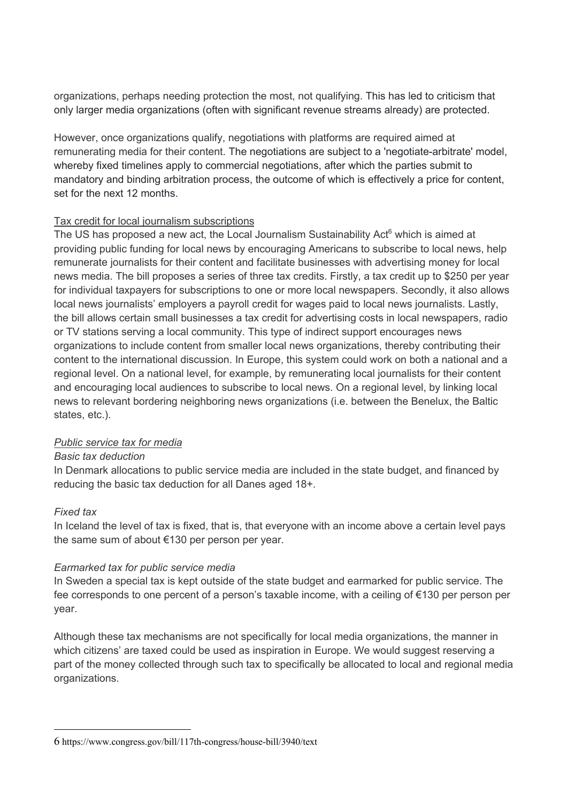organizations, perhaps needing protection the most, not qualifying. This has led to criticism that only larger media organizations (often with significant revenue streams already) are protected.

However, once organizations qualify, negotiations with platforms are required aimed at remunerating media for their content. The negotiations are subject to a 'negotiate-arbitrate' model, whereby fixed timelines apply to commercial negotiations, after which the parties submit to mandatory and binding arbitration process, the outcome of which is effectively a price for content, set for the next 12 months.

#### Tax credit for local journalism subscriptions

The US has proposed a new act, the Local Journalism Sustainability Act<sup>6</sup> which is aimed at providing public funding for local news by encouraging Americans to subscribe to local news, help remunerate journalists for their content and facilitate businesses with advertising money for local news media. The bill proposes a series of three tax credits. Firstly, a tax credit up to \$250 per year for individual taxpayers for subscriptions to one or more local newspapers. Secondly, it also allows local news journalists' employers a payroll credit for wages paid to local news journalists. Lastly, the bill allows certain small businesses a tax credit for advertising costs in local newspapers, radio or TV stations serving a local community. This type of indirect support encourages news organizations to include content from smaller local news organizations, thereby contributing their content to the international discussion. In Europe, this system could work on both a national and a regional level. On a national level, for example, by remunerating local journalists for their content and encouraging local audiences to subscribe to local news. On a regional level, by linking local news to relevant bordering neighboring news organizations (i.e. between the Benelux, the Baltic states, etc.).

### *Public service tax for media*

#### *Basic tax deduction*

In Denmark allocations to public service media are included in the state budget, and financed by reducing the basic tax deduction for all Danes aged 18+.

### *Fixed tax*

In Iceland the level of tax is fixed, that is, that everyone with an income above a certain level pays the same sum of about €130 per person per year.

### *Earmarked tax for public service media*

In Sweden a special tax is kept outside of the state budget and earmarked for public service. The fee corresponds to one percent of a person's taxable income, with a ceiling of €130 per person per year.

Although these tax mechanisms are not specifically for local media organizations, the manner in which citizens' are taxed could be used as inspiration in Europe. We would suggest reserving a part of the money collected through such tax to specifically be allocated to local and regional media organizations.

<sup>6</sup> https://www.congress.gov/bill/117th-congress/house-bill/3940/text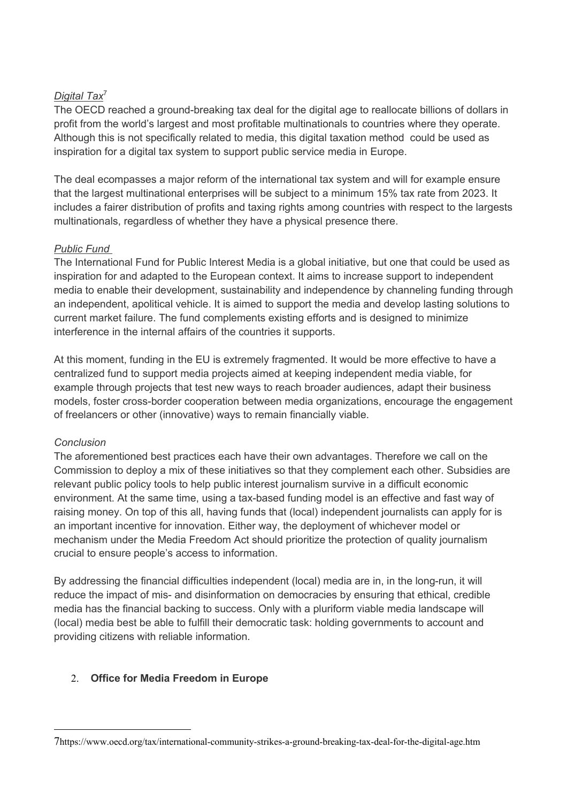# *Digital Tax*<sup>7</sup>

The OECD reached a ground-breaking tax deal for the digital age to reallocate billions of dollars in profit from the world's largest and most profitable multinationals to countries where they operate. Although this is not specifically related to media, this digital taxation method could be used as inspiration for a digital tax system to support public service media in Europe.

The deal ecompasses a major reform of the international tax system and will for example ensure that the largest multinational enterprises will be subject to a minimum 15% tax rate from 2023. It includes a fairer distribution of profits and taxing rights among countries with respect to the largests multinationals, regardless of whether they have a physical presence there.

# *Public Fund*

The International Fund for Public Interest Media is a global initiative, but one that could be used as inspiration for and adapted to the European context. It aims to increase support to independent media to enable their development, sustainability and independence by channeling funding through an independent, apolitical vehicle. It is aimed to support the media and develop lasting solutions to current market failure. The fund complements existing efforts and is designed to minimize interference in the internal affairs of the countries it supports.

At this moment, funding in the EU is extremely fragmented. It would be more effective to have a centralized fund to support media projects aimed at keeping independent media viable, for example through projects that test new ways to reach broader audiences, adapt their business models, foster cross-border cooperation between media organizations, encourage the engagement of freelancers or other (innovative) ways to remain financially viable.

### *Conclusion*

The aforementioned best practices each have their own advantages. Therefore we call on the Commission to deploy a mix of these initiatives so that they complement each other. Subsidies are relevant public policy tools to help public interest journalism survive in a difficult economic environment. At the same time, using a tax-based funding model is an effective and fast way of raising money. On top of this all, having funds that (local) independent journalists can apply for is an important incentive for innovation. Either way, the deployment of whichever model or mechanism under the Media Freedom Act should prioritize the protection of quality journalism crucial to ensure people's access to information.

By addressing the financial difficulties independent (local) media are in, in the long-run, it will reduce the impact of mis- and disinformation on democracies by ensuring that ethical, credible media has the financial backing to success. Only with a pluriform viable media landscape will (local) media best be able to fulfill their democratic task: holding governments to account and providing citizens with reliable information.

# 2. **Office for Media Freedom in Europe**

<sup>7</sup>https://www.oecd.org/tax/international-community-strikes-a-ground-breaking-tax-deal-for-the-digital-age.htm